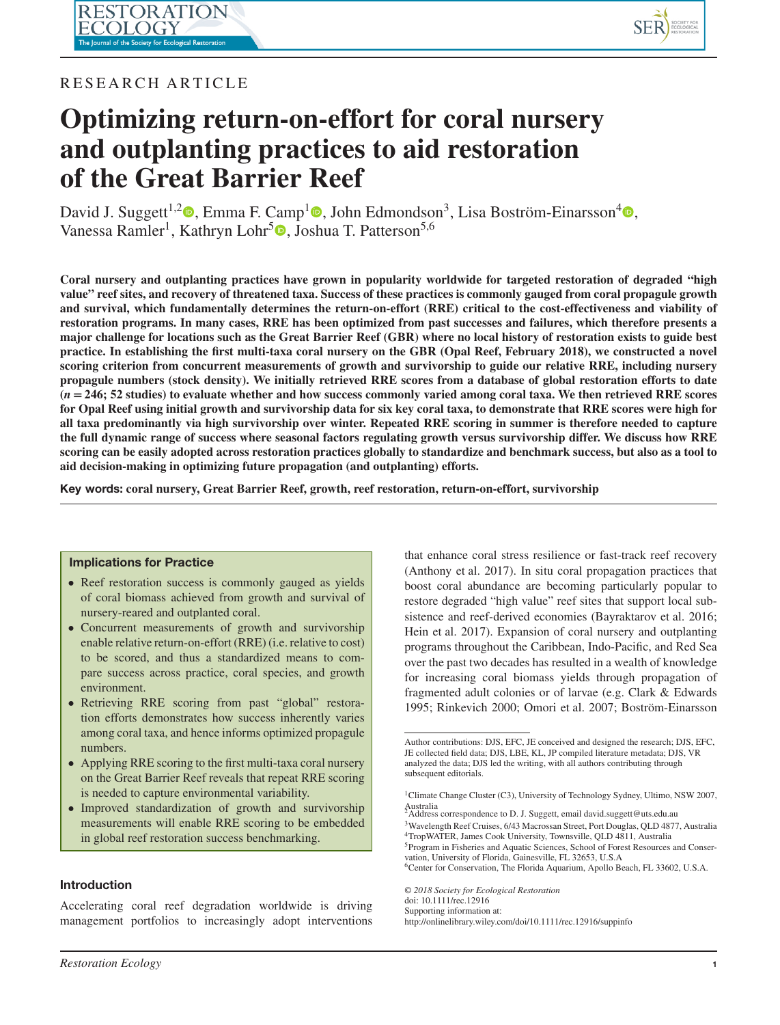

# RESEARCH ARTICLE

# **Optimizing return-on-effort for coral nursery and outplanting practices to aid restoration of the Great Barrier Reef**

David J. Suggett<sup>1[,](https://orcid.org/0000-0001-5326-2520)2</sup> , Emma F. Camp<sup>[1](https://orcid.org/0000-0003-1962-1336)</sup> , John Edmondson<sup>3</sup>, Lisa Boström-Einarsson<sup>[4](https://orcid.org/0000-0003-4814-9552)</sup> , Vanessa Ramler<sup>1</sup>[,](https://orcid.org/0000-0002-3580-3431) Kathryn Lohr<sup>5</sup><sup>®</sup>, Joshua T. Patterson<sup>5,6</sup>

**Coral nursery and outplanting practices have grown in popularity worldwide for targeted restoration of degraded "high value" reef sites, and recovery of threatened taxa. Success of these practices is commonly gauged from coral propagule growth and survival, which fundamentally determines the return-on-effort (RRE) critical to the cost-effectiveness and viability of restoration programs. In many cases, RRE has been optimized from past successes and failures, which therefore presents a major challenge for locations such as the Great Barrier Reef (GBR) where no local history of restoration exists to guide best practice. In establishing the first multi-taxa coral nursery on the GBR (Opal Reef, February 2018), we constructed a novel scoring criterion from concurrent measurements of growth and survivorship to guide our relative RRE, including nursery propagule numbers (stock density). We initially retrieved RRE scores from a database of global restoration efforts to date (***n* **= 246; 52 studies) to evaluate whether and how success commonly varied among coral taxa. We then retrieved RRE scores for Opal Reef using initial growth and survivorship data for six key coral taxa, to demonstrate that RRE scores were high for all taxa predominantly via high survivorship over winter. Repeated RRE scoring in summer is therefore needed to capture the full dynamic range of success where seasonal factors regulating growth versus survivorship differ. We discuss how RRE scoring can be easily adopted across restoration practices globally to standardize and benchmark success, but also as a tool to aid decision-making in optimizing future propagation (and outplanting) efforts.**

**Key words: coral nursery, Great Barrier Reef, growth, reef restoration, return-on-effort, survivorship**

#### **Implications for Practice**

- Reef restoration success is commonly gauged as yields of coral biomass achieved from growth and survival of nursery-reared and outplanted coral.
- Concurrent measurements of growth and survivorship enable relative return-on-effort (RRE) (i.e. relative to cost) to be scored, and thus a standardized means to compare success across practice, coral species, and growth environment.
- Retrieving RRE scoring from past "global" restoration efforts demonstrates how success inherently varies among coral taxa, and hence informs optimized propagule numbers.
- Applying RRE scoring to the first multi-taxa coral nursery on the Great Barrier Reef reveals that repeat RRE scoring is needed to capture environmental variability.
- Improved standardization of growth and survivorship measurements will enable RRE scoring to be embedded in global reef restoration success benchmarking.

# **Introduction**

Accelerating coral reef degradation worldwide is driving management portfolios to increasingly adopt interventions that enhance coral stress resilience or fast-track reef recovery (Anthony et al. 2017). In situ coral propagation practices that boost coral abundance are becoming particularly popular to restore degraded "high value" reef sites that support local subsistence and reef-derived economies (Bayraktarov et al. 2016; Hein et al. 2017). Expansion of coral nursery and outplanting programs throughout the Caribbean, Indo-Pacific, and Red Sea over the past two decades has resulted in a wealth of knowledge for increasing coral biomass yields through propagation of fragmented adult colonies or of larvae (e.g. Clark & Edwards 1995; Rinkevich 2000; Omori et al. 2007; Boström-Einarsson

5Program in Fisheries and Aquatic Sciences, School of Forest Resources and Conservation, University of Florida, Gainesville, FL 32653, U.S.A

6Center for Conservation, The Florida Aquarium, Apollo Beach, FL 33602, U.S.A.

*© 2018 Society for Ecological Restoration* doi: 10.1111/rec.12916 Supporting information at: http://onlinelibrary.wiley.com/doi/10.1111/rec.12916/suppinfo

Author contributions: DJS, EFC, JE conceived and designed the research; DJS, EFC, JE collected field data; DJS, LBE, KL, JP compiled literature metadata; DJS, VR analyzed the data; DJS led the writing, with all authors contributing through subsequent editorials.

<sup>1</sup>Climate Change Cluster (C3), University of Technology Sydney, Ultimo, NSW 2007, Australia 2Address correspondence to D. J. Suggett, email david.suggett@uts.edu.au

<sup>3</sup>Wavelength Reef Cruises, 6/43 Macrossan Street, Port Douglas, QLD 4877, Australia 4TropWATER, James Cook University, Townsville, QLD 4811, Australia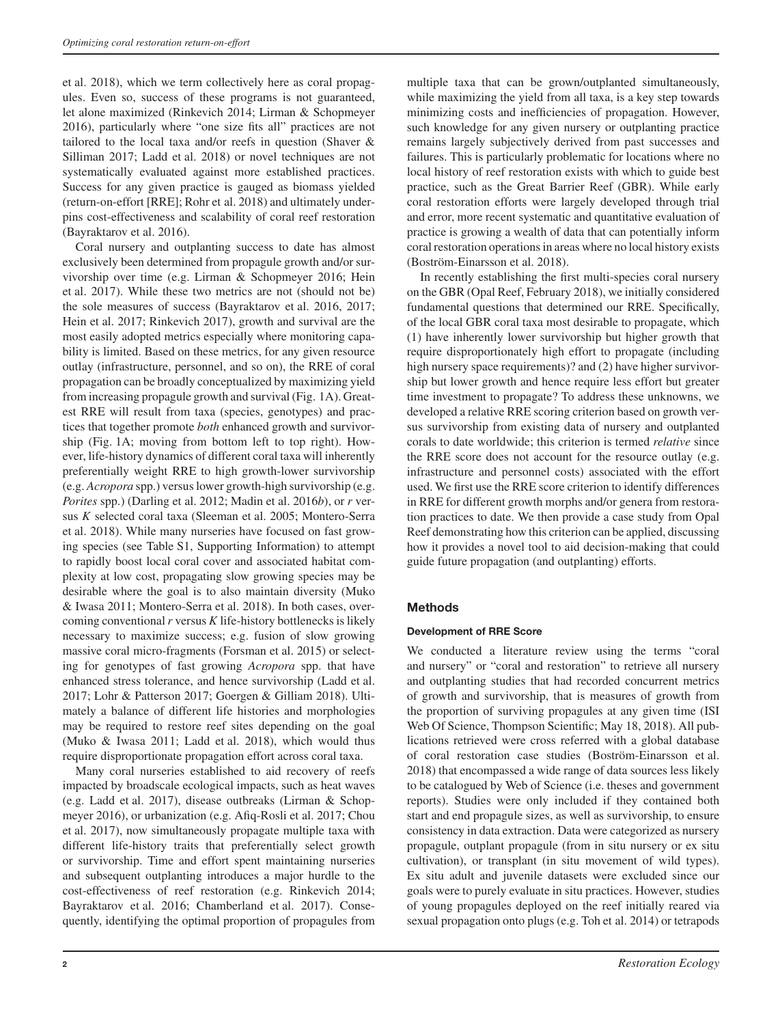et al. 2018), which we term collectively here as coral propagules. Even so, success of these programs is not guaranteed, let alone maximized (Rinkevich 2014; Lirman & Schopmeyer 2016), particularly where "one size fits all" practices are not tailored to the local taxa and/or reefs in question (Shaver & Silliman 2017; Ladd et al. 2018) or novel techniques are not systematically evaluated against more established practices. Success for any given practice is gauged as biomass yielded (return-on-effort [RRE]; Rohr et al. 2018) and ultimately underpins cost-effectiveness and scalability of coral reef restoration (Bayraktarov et al. 2016).

Coral nursery and outplanting success to date has almost exclusively been determined from propagule growth and/or survivorship over time (e.g. Lirman & Schopmeyer 2016; Hein et al. 2017). While these two metrics are not (should not be) the sole measures of success (Bayraktarov et al. 2016, 2017; Hein et al. 2017; Rinkevich 2017), growth and survival are the most easily adopted metrics especially where monitoring capability is limited. Based on these metrics, for any given resource outlay (infrastructure, personnel, and so on), the RRE of coral propagation can be broadly conceptualized by maximizing yield from increasing propagule growth and survival (Fig. 1A). Greatest RRE will result from taxa (species, genotypes) and practices that together promote *both* enhanced growth and survivorship (Fig. 1A; moving from bottom left to top right). However, life-history dynamics of different coral taxa will inherently preferentially weight RRE to high growth-lower survivorship (e.g. *Acropora* spp.) versus lower growth-high survivorship (e.g. *Porites* spp.) (Darling et al. 2012; Madin et al. 2016*b*), or *r* versus *K* selected coral taxa (Sleeman et al. 2005; Montero-Serra et al. 2018). While many nurseries have focused on fast growing species (see Table S1, Supporting Information) to attempt to rapidly boost local coral cover and associated habitat complexity at low cost, propagating slow growing species may be desirable where the goal is to also maintain diversity (Muko & Iwasa 2011; Montero-Serra et al. 2018). In both cases, overcoming conventional*r* versus *K* life-history bottlenecks is likely necessary to maximize success; e.g. fusion of slow growing massive coral micro-fragments (Forsman et al. 2015) or selecting for genotypes of fast growing *Acropora* spp. that have enhanced stress tolerance, and hence survivorship (Ladd et al. 2017; Lohr & Patterson 2017; Goergen & Gilliam 2018). Ultimately a balance of different life histories and morphologies may be required to restore reef sites depending on the goal (Muko & Iwasa 2011; Ladd et al. 2018), which would thus require disproportionate propagation effort across coral taxa.

Many coral nurseries established to aid recovery of reefs impacted by broadscale ecological impacts, such as heat waves (e.g. Ladd et al. 2017), disease outbreaks (Lirman & Schopmeyer 2016), or urbanization (e.g. Afiq-Rosli et al. 2017; Chou et al. 2017), now simultaneously propagate multiple taxa with different life-history traits that preferentially select growth or survivorship. Time and effort spent maintaining nurseries and subsequent outplanting introduces a major hurdle to the cost-effectiveness of reef restoration (e.g. Rinkevich 2014; Bayraktarov et al. 2016; Chamberland et al. 2017). Consequently, identifying the optimal proportion of propagules from

multiple taxa that can be grown/outplanted simultaneously, while maximizing the yield from all taxa, is a key step towards minimizing costs and inefficiencies of propagation. However, such knowledge for any given nursery or outplanting practice remains largely subjectively derived from past successes and failures. This is particularly problematic for locations where no local history of reef restoration exists with which to guide best practice, such as the Great Barrier Reef (GBR). While early coral restoration efforts were largely developed through trial and error, more recent systematic and quantitative evaluation of practice is growing a wealth of data that can potentially inform coral restoration operations in areas where no local history exists (Boström-Einarsson et al. 2018).

In recently establishing the first multi-species coral nursery on the GBR (Opal Reef, February 2018), we initially considered fundamental questions that determined our RRE. Specifically, of the local GBR coral taxa most desirable to propagate, which (1) have inherently lower survivorship but higher growth that require disproportionately high effort to propagate (including high nursery space requirements)? and (2) have higher survivorship but lower growth and hence require less effort but greater time investment to propagate? To address these unknowns, we developed a relative RRE scoring criterion based on growth versus survivorship from existing data of nursery and outplanted corals to date worldwide; this criterion is termed *relative* since the RRE score does not account for the resource outlay (e.g. infrastructure and personnel costs) associated with the effort used. We first use the RRE score criterion to identify differences in RRE for different growth morphs and/or genera from restoration practices to date. We then provide a case study from Opal Reef demonstrating how this criterion can be applied, discussing how it provides a novel tool to aid decision-making that could guide future propagation (and outplanting) efforts.

# **Methods**

#### **Development of RRE Score**

We conducted a literature review using the terms "coral and nursery" or "coral and restoration" to retrieve all nursery and outplanting studies that had recorded concurrent metrics of growth and survivorship, that is measures of growth from the proportion of surviving propagules at any given time (ISI Web Of Science, Thompson Scientific; May 18, 2018). All publications retrieved were cross referred with a global database of coral restoration case studies (Boström-Einarsson et al. 2018) that encompassed a wide range of data sources less likely to be catalogued by Web of Science (i.e. theses and government reports). Studies were only included if they contained both start and end propagule sizes, as well as survivorship, to ensure consistency in data extraction. Data were categorized as nursery propagule, outplant propagule (from in situ nursery or ex situ cultivation), or transplant (in situ movement of wild types). Ex situ adult and juvenile datasets were excluded since our goals were to purely evaluate in situ practices. However, studies of young propagules deployed on the reef initially reared via sexual propagation onto plugs (e.g. Toh et al. 2014) or tetrapods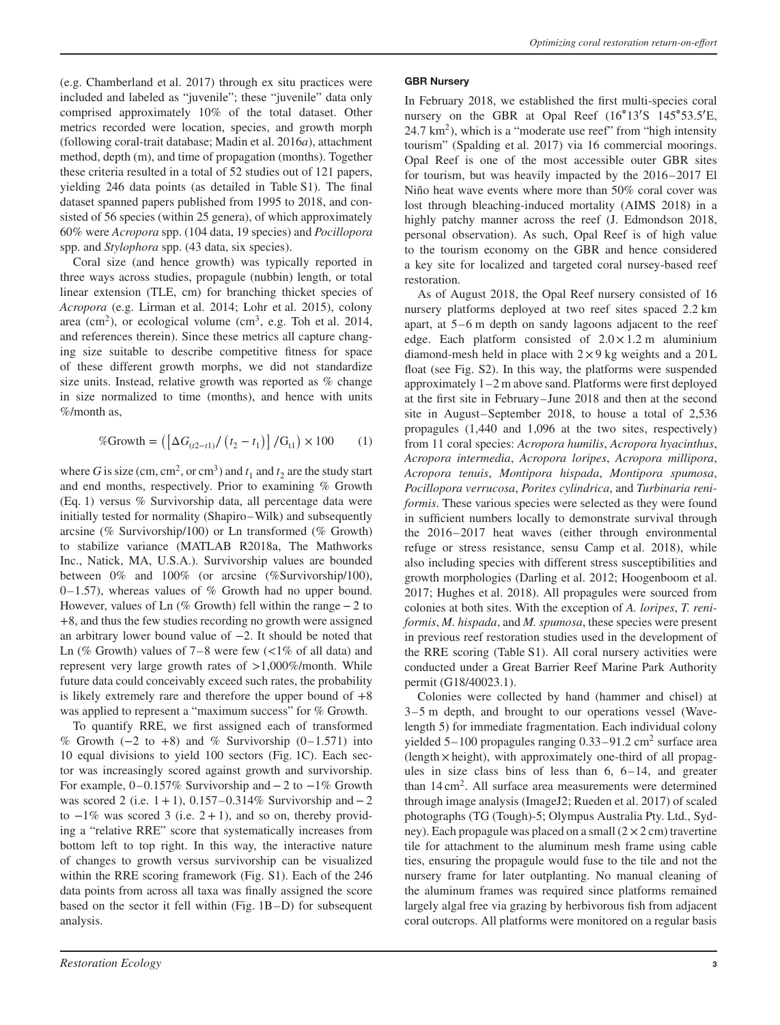(e.g. Chamberland et al. 2017) through ex situ practices were included and labeled as "juvenile"; these "juvenile" data only comprised approximately 10% of the total dataset. Other metrics recorded were location, species, and growth morph (following coral-trait database; Madin et al. 2016*a*), attachment method, depth (m), and time of propagation (months). Together these criteria resulted in a total of 52 studies out of 121 papers, yielding 246 data points (as detailed in Table S1). The final dataset spanned papers published from 1995 to 2018, and consisted of 56 species (within 25 genera), of which approximately 60% were *Acropora* spp. (104 data, 19 species) and *Pocillopora* spp. and *Stylophora* spp. (43 data, six species).

Coral size (and hence growth) was typically reported in three ways across studies, propagule (nubbin) length, or total linear extension (TLE, cm) for branching thicket species of *Acropora* (e.g. Lirman et al. 2014; Lohr et al. 2015), colony area (cm<sup>2</sup>), or ecological volume (cm<sup>3</sup>, e.g. Toh et al. 2014, and references therein). Since these metrics all capture changing size suitable to describe competitive fitness for space of these different growth morphs, we did not standardize size units. Instead, relative growth was reported as % change in size normalized to time (months), and hence with units %/month as,

$$
\% \text{Growth} = \left( \left[ \Delta G_{(t2-t1)} / \left( t_2 - t_1 \right) \right] / \text{G}_{t1} \right) \times 100 \tag{1}
$$

where *G* is size (cm, cm<sup>2</sup>, or cm<sup>3</sup>) and  $t_1$  and  $t_2$  are the study start and end months, respectively. Prior to examining % Growth (Eq. 1) versus % Survivorship data, all percentage data were initially tested for normality (Shapiro–Wilk) and subsequently arcsine (% Survivorship/100) or Ln transformed (% Growth) to stabilize variance (MATLAB R2018a, The Mathworks Inc., Natick, MA, U.S.A.). Survivorship values are bounded between 0% and 100% (or arcsine (%Survivorship/100),  $0-1.57$ ), whereas values of % Growth had no upper bound. However, values of Ln (% Growth) fell within the range−2 to +8, and thus the few studies recording no growth were assigned an arbitrary lower bound value of −2. It should be noted that Ln (% Growth) values of 7–8 were few (*<*1% of all data) and represent very large growth rates of *>*1,000%/month. While future data could conceivably exceed such rates, the probability is likely extremely rare and therefore the upper bound of  $+8$ was applied to represent a "maximum success" for % Growth.

To quantify RRE, we first assigned each of transformed % Growth  $(-2 \text{ to } +8)$  and % Survivorship  $(0-1.571)$  into 10 equal divisions to yield 100 sectors (Fig. 1C). Each sector was increasingly scored against growth and survivorship. For example, 0–0.157% Survivorship and−2 to −1% Growth was scored 2 (i.e.  $1+1$ ), 0.157–0.314% Survivorship and – 2 to  $-1\%$  was scored 3 (i.e. 2+1), and so on, thereby providing a "relative RRE" score that systematically increases from bottom left to top right. In this way, the interactive nature of changes to growth versus survivorship can be visualized within the RRE scoring framework (Fig. S1). Each of the 246 data points from across all taxa was finally assigned the score based on the sector it fell within (Fig. 1B–D) for subsequent analysis.

**GBR Nursery**

restoration.

As of August 2018, the Opal Reef nursery consisted of 16 nursery platforms deployed at two reef sites spaced 2.2 km apart, at 5–6 m depth on sandy lagoons adjacent to the reef edge. Each platform consisted of  $2.0 \times 1.2$  m aluminium diamond-mesh held in place with  $2 \times 9$  kg weights and a  $20$  L float (see Fig. S2). In this way, the platforms were suspended approximately 1–2 m above sand. Platforms were first deployed at the first site in February–June 2018 and then at the second site in August–September 2018, to house a total of 2,536 propagules (1,440 and 1,096 at the two sites, respectively) from 11 coral species: *Acropora humilis*, *Acropora hyacinthus*, *Acropora intermedia*, *Acropora loripes*, *Acropora millipora*, *Acropora tenuis*, *Montipora hispada*, *Montipora spumosa*, *Pocillopora verrucosa*, *Porites cylindrica*, and *Turbinaria reniformis*. These various species were selected as they were found in sufficient numbers locally to demonstrate survival through the 2016–2017 heat waves (either through environmental refuge or stress resistance, sensu Camp et al. 2018), while also including species with different stress susceptibilities and growth morphologies (Darling et al. 2012; Hoogenboom et al. 2017; Hughes et al. 2018). All propagules were sourced from colonies at both sites. With the exception of *A. loripes*, *T. reniformis*, *M. hispada*, and *M. spumosa*, these species were present in previous reef restoration studies used in the development of the RRE scoring (Table S1). All coral nursery activities were conducted under a Great Barrier Reef Marine Park Authority permit (G18/40023.1).

Colonies were collected by hand (hammer and chisel) at 3–5 m depth, and brought to our operations vessel (Wavelength 5) for immediate fragmentation. Each individual colony yielded 5-100 propagules ranging 0.33-91.2 cm<sup>2</sup> surface area (length × height), with approximately one-third of all propagules in size class bins of less than 6, 6–14, and greater than 14 cm2. All surface area measurements were determined through image analysis (ImageJ2; Rueden et al. 2017) of scaled photographs (TG (Tough)-5; Olympus Australia Pty. Ltd., Sydney). Each propagule was placed on a small  $(2 \times 2 \text{ cm})$  travertine tile for attachment to the aluminum mesh frame using cable ties, ensuring the propagule would fuse to the tile and not the nursery frame for later outplanting. No manual cleaning of the aluminum frames was required since platforms remained largely algal free via grazing by herbivorous fish from adjacent coral outcrops. All platforms were monitored on a regular basis

In February 2018, we established the first multi-species coral nursery on the GBR at Opal Reef (16°13′S 145°53.5′E,  $24.7 \text{ km}^2$ ), which is a "moderate use reef" from "high intensity tourism" (Spalding et al. 2017) via 16 commercial moorings. Opal Reef is one of the most accessible outer GBR sites for tourism, but was heavily impacted by the 2016–2017 El Niño heat wave events where more than 50% coral cover was lost through bleaching-induced mortality (AIMS 2018) in a highly patchy manner across the reef (J. Edmondson 2018, personal observation). As such, Opal Reef is of high value to the tourism economy on the GBR and hence considered a key site for localized and targeted coral nursey-based reef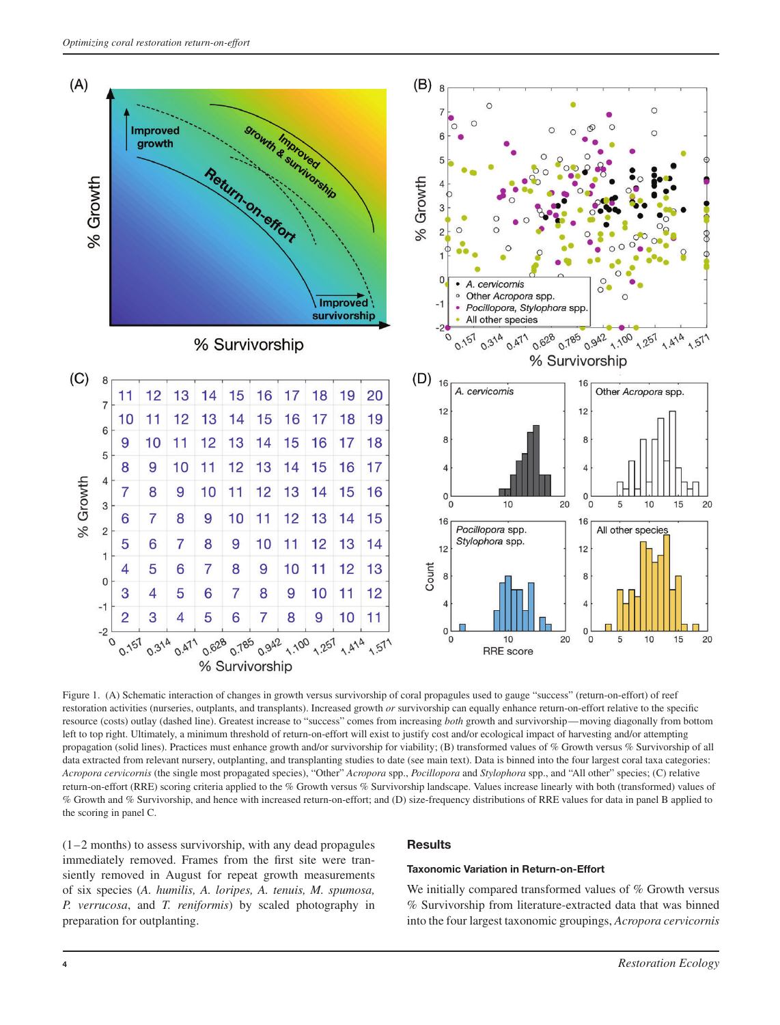

Figure 1. (A) Schematic interaction of changes in growth versus survivorship of coral propagules used to gauge "success" (return-on-effort) of reef restoration activities (nurseries, outplants, and transplants). Increased growth *or* survivorship can equally enhance return-on-effort relative to the specific resource (costs) outlay (dashed line). Greatest increase to "success" comes from increasing *both* growth and survivorship—moving diagonally from bottom left to top right. Ultimately, a minimum threshold of return-on-effort will exist to justify cost and/or ecological impact of harvesting and/or attempting propagation (solid lines). Practices must enhance growth and/or survivorship for viability; (B) transformed values of % Growth versus % Survivorship of all data extracted from relevant nursery, outplanting, and transplanting studies to date (see main text). Data is binned into the four largest coral taxa categories: *Acropora cervicornis* (the single most propagated species), "Other" *Acropora* spp., *Pocillopora* and *Stylophora* spp., and "All other" species; (C) relative return-on-effort (RRE) scoring criteria applied to the % Growth versus % Survivorship landscape. Values increase linearly with both (transformed) values of % Growth and % Survivorship, and hence with increased return-on-effort; and (D) size-frequency distributions of RRE values for data in panel B applied to the scoring in panel C.

(1–2 months) to assess survivorship, with any dead propagules immediately removed. Frames from the first site were transiently removed in August for repeat growth measurements of six species (*A. humilis, A. loripes, A. tenuis, M. spumosa, P. verrucosa*, and *T. reniformis*) by scaled photography in preparation for outplanting.

# **Results**

# **Taxonomic Variation in Return-on-Effort**

We initially compared transformed values of % Growth versus % Survivorship from literature-extracted data that was binned into the four largest taxonomic groupings, *Acropora cervicornis*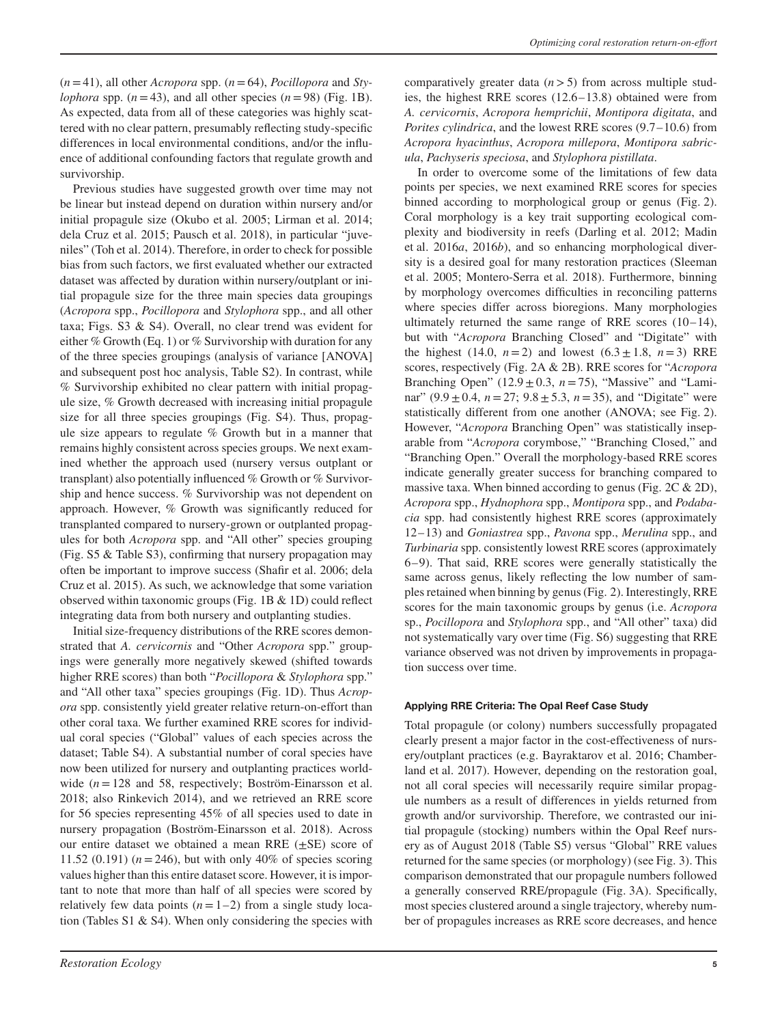$(n=41)$ , all other *Acropora* spp.  $(n=64)$ , *Pocillopora* and *Stylophora* spp.  $(n=43)$ , and all other species  $(n=98)$  (Fig. 1B). As expected, data from all of these categories was highly scattered with no clear pattern, presumably reflecting study-specific differences in local environmental conditions, and/or the influence of additional confounding factors that regulate growth and survivorship.

Previous studies have suggested growth over time may not be linear but instead depend on duration within nursery and/or initial propagule size (Okubo et al. 2005; Lirman et al. 2014; dela Cruz et al. 2015; Pausch et al. 2018), in particular "juveniles" (Toh et al. 2014). Therefore, in order to check for possible bias from such factors, we first evaluated whether our extracted dataset was affected by duration within nursery/outplant or initial propagule size for the three main species data groupings (*Acropora* spp., *Pocillopora* and *Stylophora* spp., and all other taxa; Figs. S3 & S4). Overall, no clear trend was evident for either % Growth (Eq. 1) or % Survivorship with duration for any of the three species groupings (analysis of variance [ANOVA] and subsequent post hoc analysis, Table S2). In contrast, while % Survivorship exhibited no clear pattern with initial propagule size, % Growth decreased with increasing initial propagule size for all three species groupings (Fig. S4). Thus, propagule size appears to regulate % Growth but in a manner that remains highly consistent across species groups. We next examined whether the approach used (nursery versus outplant or transplant) also potentially influenced % Growth or % Survivorship and hence success. % Survivorship was not dependent on approach. However, % Growth was significantly reduced for transplanted compared to nursery-grown or outplanted propagules for both *Acropora* spp. and "All other" species grouping (Fig. S5 & Table S3), confirming that nursery propagation may often be important to improve success (Shafir et al. 2006; dela Cruz et al. 2015). As such, we acknowledge that some variation observed within taxonomic groups (Fig. 1B & 1D) could reflect integrating data from both nursery and outplanting studies.

Initial size-frequency distributions of the RRE scores demonstrated that *A. cervicornis* and "Other *Acropora* spp." groupings were generally more negatively skewed (shifted towards higher RRE scores) than both "*Pocillopora* & *Stylophora* spp." and "All other taxa" species groupings (Fig. 1D). Thus *Acropora* spp. consistently yield greater relative return-on-effort than other coral taxa. We further examined RRE scores for individual coral species ("Global" values of each species across the dataset; Table S4). A substantial number of coral species have now been utilized for nursery and outplanting practices worldwide (*n*=128 and 58, respectively; Boström-Einarsson et al. 2018; also Rinkevich 2014), and we retrieved an RRE score for 56 species representing 45% of all species used to date in nursery propagation (Boström-Einarsson et al. 2018). Across our entire dataset we obtained a mean RRE  $(\pm SE)$  score of 11.52 (0.191)  $(n = 246)$ , but with only 40% of species scoring values higher than this entire dataset score. However, it is important to note that more than half of all species were scored by relatively few data points  $(n=1-2)$  from a single study location (Tables  $S1 \& S4$ ). When only considering the species with comparatively greater data (*n>*5) from across multiple studies, the highest RRE scores (12.6–13.8) obtained were from *A. cervicornis*, *Acropora hemprichii*, *Montipora digitata*, and *Porites cylindrica*, and the lowest RRE scores (9.7–10.6) from *Acropora hyacinthus*, *Acropora millepora*, *Montipora sabricula*, *Pachyseris speciosa*, and *Stylophora pistillata*.

In order to overcome some of the limitations of few data points per species, we next examined RRE scores for species binned according to morphological group or genus (Fig. 2). Coral morphology is a key trait supporting ecological complexity and biodiversity in reefs (Darling et al. 2012; Madin et al. 2016*a*, 2016*b*), and so enhancing morphological diversity is a desired goal for many restoration practices (Sleeman et al. 2005; Montero-Serra et al. 2018). Furthermore, binning by morphology overcomes difficulties in reconciling patterns where species differ across bioregions. Many morphologies ultimately returned the same range of RRE scores (10–14), but with "*Acropora* Branching Closed" and "Digitate" with the highest (14.0,  $n = 2$ ) and lowest (6.3  $\pm$  1.8,  $n = 3$ ) RRE scores, respectively (Fig. 2A & 2B). RRE scores for "*Acropora* Branching Open"  $(12.9 \pm 0.3, n = 75)$ , "Massive" and "Laminar"  $(9.9 \pm 0.4, n = 27; 9.8 \pm 5.3, n = 35)$ , and "Digitate" were statistically different from one another (ANOVA; see Fig. 2). However, "*Acropora* Branching Open" was statistically inseparable from "*Acropora* corymbose," "Branching Closed," and "Branching Open." Overall the morphology-based RRE scores indicate generally greater success for branching compared to massive taxa. When binned according to genus (Fig. 2C & 2D), *Acropora* spp., *Hydnophora* spp., *Montipora* spp., and *Podabacia* spp. had consistently highest RRE scores (approximately 12–13) and *Goniastrea* spp., *Pavona* spp., *Merulina* spp., and *Turbinaria* spp. consistently lowest RRE scores (approximately 6–9). That said, RRE scores were generally statistically the same across genus, likely reflecting the low number of samples retained when binning by genus (Fig. 2). Interestingly, RRE scores for the main taxonomic groups by genus (i.e. *Acropora* sp., *Pocillopora* and *Stylophora* spp., and "All other" taxa) did not systematically vary over time (Fig. S6) suggesting that RRE variance observed was not driven by improvements in propagation success over time.

# **Applying RRE Criteria: The Opal Reef Case Study**

Total propagule (or colony) numbers successfully propagated clearly present a major factor in the cost-effectiveness of nursery/outplant practices (e.g. Bayraktarov et al. 2016; Chamberland et al. 2017). However, depending on the restoration goal, not all coral species will necessarily require similar propagule numbers as a result of differences in yields returned from growth and/or survivorship. Therefore, we contrasted our initial propagule (stocking) numbers within the Opal Reef nursery as of August 2018 (Table S5) versus "Global" RRE values returned for the same species (or morphology) (see Fig. 3). This comparison demonstrated that our propagule numbers followed a generally conserved RRE/propagule (Fig. 3A). Specifically, most species clustered around a single trajectory, whereby number of propagules increases as RRE score decreases, and hence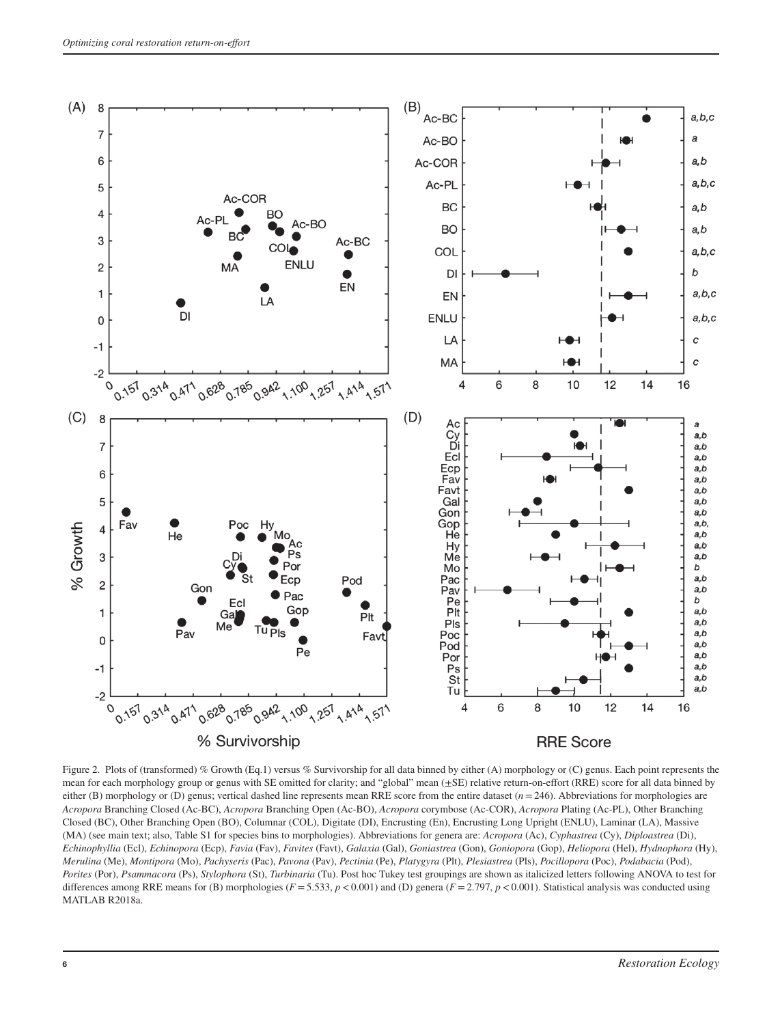

Figure 2. Plots of (transformed) % Growth (Eq.1) versus % Survivorship for all data binned by either (A) morphology or (C) genus. Each point represents the mean for each morphology group or genus with SE omitted for clarity; and "global" mean (±SE) relative return-on-effort (RRE) score for all data binned by either (B) morphology or (D) genus; vertical dashed line represents mean RRE score from the entire dataset (*n*=246). Abbreviations for morphologies are *Acropora* Branching Closed (Ac-BC), *Acropora* Branching Open (Ac-BO), *Acropora* corymbose (Ac-COR), *Acropora* Plating (Ac-PL), Other Branching Closed (BC), Other Branching Open (BO), Columnar (COL), Digitate (DI), Encrusting (En), Encrusting Long Upright (ENLU), Laminar (LA), Massive (MA) (see main text; also, Table S1 for species bins to morphologies). Abbreviations for genera are: *Acropora* (Ac), *Cyphastrea* (Cy), *Diploastrea* (Di), *Echinophyllia* (Ecl), *Echinopora* (Ecp), *Favia* (Fav), *Favites* (Favt), *Galaxia* (Gal), *Goniastrea* (Gon), *Goniopora* (Gop), *Heliopora* (Hel), *Hydnophora* (Hy), *Merulina* (Me), *Montipora* (Mo), *Pachyseris* (Pac), *Pavona* (Pav), *Pectinia* (Pe), *Platygyra* (Plt), *Plesiastrea* (Pls), *Pocillopora* (Poc), *Podabacia* (Pod), *Porites* (Por), *Psammacora* (Ps), *Stylophora* (St), *Turbinaria* (Tu). Post hoc Tukey test groupings are shown as italicized letters following ANOVA to test for differences among RRE means for (B) morphologies ( $F = 5.533$ ,  $p < 0.001$ ) and (D) genera ( $F = 2.797$ ,  $p < 0.001$ ). Statistical analysis was conducted using MATLAB R2018a.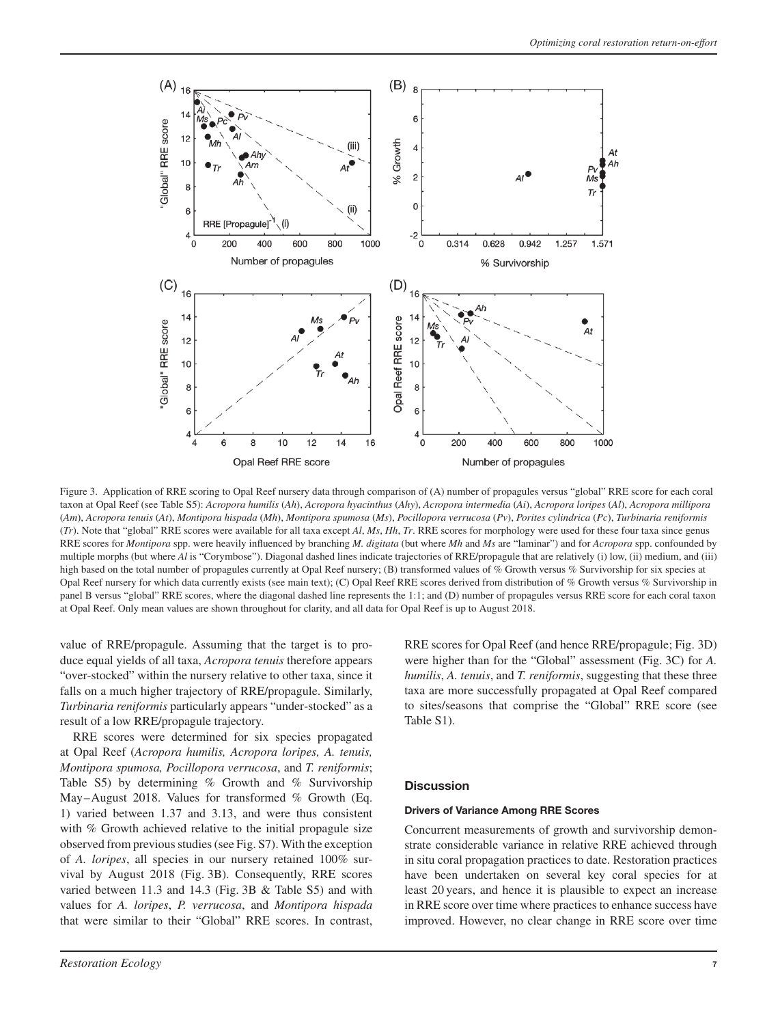

Figure 3. Application of RRE scoring to Opal Reef nursery data through comparison of (A) number of propagules versus "global" RRE score for each coral taxon at Opal Reef (see Table S5): *Acropora humilis* (*Ah*), *Acropora hyacinthus* (*Ahy*), *Acropora intermedia* (*Ai*), *Acropora loripes* (*Al*), *Acropora millipora* (Am), Acropora tenuis (At), Montipora hispada (Mh), Montipora spumosa (Ms), Pocillopora verrucosa (Pv), Porites cylindrica (Pc), Turbinaria reniformis (*Tr*). Note that "global" RRE scores were available for all taxa except *Al*, *Ms*, *Hh*, *Tr*. RRE scores for morphology were used for these four taxa since genus RRE scores for *Montipora* spp. were heavily influenced by branching *M. digitata* (but where *Mh* and *Ms* are "laminar") and for *Acropora* spp. confounded by multiple morphs (but where *Al* is "Corymbose"). Diagonal dashed lines indicate trajectories of RRE/propagule that are relatively (i) low, (ii) medium, and (iii) high based on the total number of propagules currently at Opal Reef nursery; (B) transformed values of % Growth versus % Survivorship for six species at Opal Reef nursery for which data currently exists (see main text); (C) Opal Reef RRE scores derived from distribution of % Growth versus % Survivorship in panel B versus "global" RRE scores, where the diagonal dashed line represents the 1:1; and (D) number of propagules versus RRE score for each coral taxon at Opal Reef. Only mean values are shown throughout for clarity, and all data for Opal Reef is up to August 2018.

value of RRE/propagule. Assuming that the target is to produce equal yields of all taxa, *Acropora tenuis* therefore appears "over-stocked" within the nursery relative to other taxa, since it falls on a much higher trajectory of RRE/propagule. Similarly, *Turbinaria reniformis* particularly appears "under-stocked" as a result of a low RRE/propagule trajectory.

RRE scores were determined for six species propagated at Opal Reef (*Acropora humilis, Acropora loripes, A. tenuis, Montipora spumosa, Pocillopora verrucosa*, and *T. reniformis*; Table S5) by determining % Growth and % Survivorship May–August 2018. Values for transformed % Growth (Eq. 1) varied between 1.37 and 3.13, and were thus consistent with % Growth achieved relative to the initial propagule size observed from previous studies (see Fig. S7). With the exception of *A. loripes*, all species in our nursery retained 100% survival by August 2018 (Fig. 3B). Consequently, RRE scores varied between 11.3 and 14.3 (Fig. 3B & Table S5) and with values for *A. loripes*, *P. verrucosa*, and *Montipora hispada* that were similar to their "Global" RRE scores. In contrast,

RRE scores for Opal Reef (and hence RRE/propagule; Fig. 3D) were higher than for the "Global" assessment (Fig. 3C) for *A. humilis*, *A. tenuis*, and *T. reniformis*, suggesting that these three taxa are more successfully propagated at Opal Reef compared to sites/seasons that comprise the "Global" RRE score (see Table S1).

#### **Discussion**

#### **Drivers of Variance Among RRE Scores**

Concurrent measurements of growth and survivorship demonstrate considerable variance in relative RRE achieved through in situ coral propagation practices to date. Restoration practices have been undertaken on several key coral species for at least 20 years, and hence it is plausible to expect an increase in RRE score over time where practices to enhance success have improved. However, no clear change in RRE score over time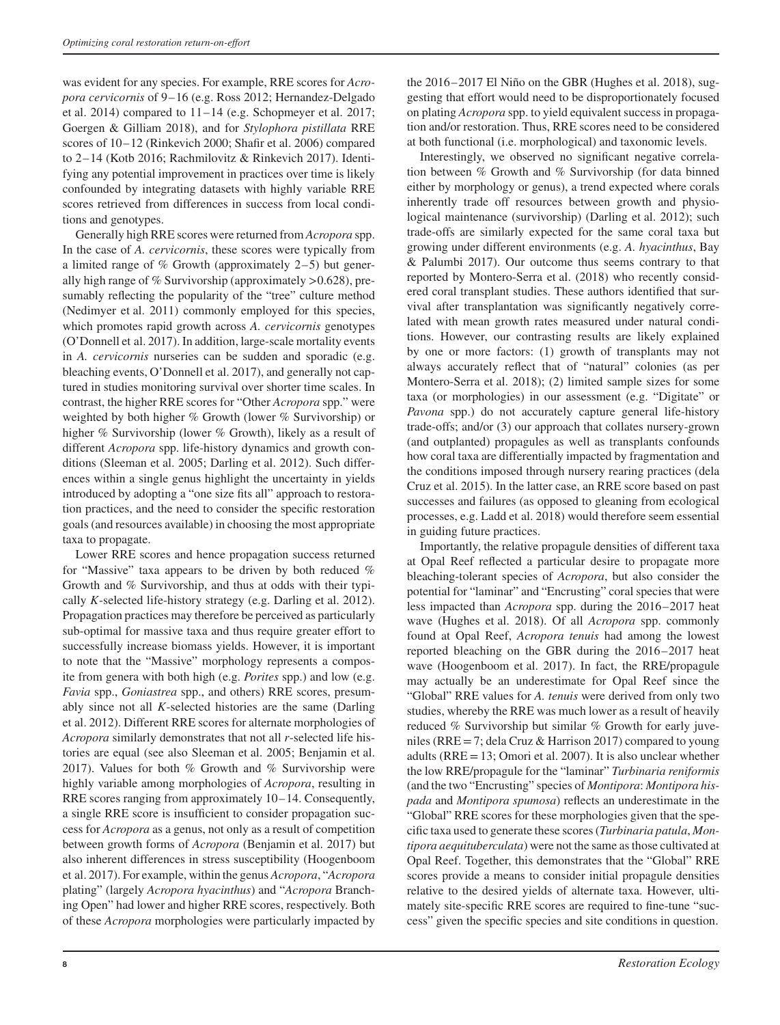was evident for any species. For example, RRE scores for *Acropora cervicornis* of 9–16 (e.g. Ross 2012; Hernandez-Delgado et al. 2014) compared to  $11-14$  (e.g. Schopmeyer et al. 2017; Goergen & Gilliam 2018), and for *Stylophora pistillata* RRE scores of 10–12 (Rinkevich 2000; Shafir et al. 2006) compared to 2–14 (Kotb 2016; Rachmilovitz & Rinkevich 2017). Identifying any potential improvement in practices over time is likely confounded by integrating datasets with highly variable RRE scores retrieved from differences in success from local conditions and genotypes.

Generally high RRE scores were returned from *Acropora* spp. In the case of *A. cervicornis*, these scores were typically from a limited range of % Growth (approximately 2–5) but generally high range of % Survivorship (approximately *>*0.628), presumably reflecting the popularity of the "tree" culture method (Nedimyer et al. 2011) commonly employed for this species, which promotes rapid growth across *A. cervicornis* genotypes (O'Donnell et al. 2017). In addition, large-scale mortality events in *A. cervicornis* nurseries can be sudden and sporadic (e.g. bleaching events, O'Donnell et al. 2017), and generally not captured in studies monitoring survival over shorter time scales. In contrast, the higher RRE scores for "Other *Acropora* spp." were weighted by both higher % Growth (lower % Survivorship) or higher % Survivorship (lower % Growth), likely as a result of different *Acropora* spp. life-history dynamics and growth conditions (Sleeman et al. 2005; Darling et al. 2012). Such differences within a single genus highlight the uncertainty in yields introduced by adopting a "one size fits all" approach to restoration practices, and the need to consider the specific restoration goals (and resources available) in choosing the most appropriate taxa to propagate.

Lower RRE scores and hence propagation success returned for "Massive" taxa appears to be driven by both reduced % Growth and % Survivorship, and thus at odds with their typically *K*-selected life-history strategy (e.g. Darling et al. 2012). Propagation practices may therefore be perceived as particularly sub-optimal for massive taxa and thus require greater effort to successfully increase biomass yields. However, it is important to note that the "Massive" morphology represents a composite from genera with both high (e.g. *Porites* spp.) and low (e.g. *Favia* spp., *Goniastrea* spp., and others) RRE scores, presumably since not all *K*-selected histories are the same (Darling et al. 2012). Different RRE scores for alternate morphologies of *Acropora* similarly demonstrates that not all *r*-selected life histories are equal (see also Sleeman et al. 2005; Benjamin et al. 2017). Values for both % Growth and % Survivorship were highly variable among morphologies of *Acropora*, resulting in RRE scores ranging from approximately 10–14. Consequently, a single RRE score is insufficient to consider propagation success for *Acropora* as a genus, not only as a result of competition between growth forms of *Acropora* (Benjamin et al. 2017) but also inherent differences in stress susceptibility (Hoogenboom et al. 2017). For example, within the genus *Acropora*, "*Acropora* plating" (largely *Acropora hyacinthus*) and "*Acropora* Branching Open" had lower and higher RRE scores, respectively. Both of these *Acropora* morphologies were particularly impacted by the 2016–2017 El Niño on the GBR (Hughes et al. 2018), suggesting that effort would need to be disproportionately focused on plating *Acropora* spp. to yield equivalent success in propagation and/or restoration. Thus, RRE scores need to be considered at both functional (i.e. morphological) and taxonomic levels.

Interestingly, we observed no significant negative correlation between % Growth and % Survivorship (for data binned either by morphology or genus), a trend expected where corals inherently trade off resources between growth and physiological maintenance (survivorship) (Darling et al. 2012); such trade-offs are similarly expected for the same coral taxa but growing under different environments (e.g. *A. hyacinthus*, Bay & Palumbi 2017). Our outcome thus seems contrary to that reported by Montero-Serra et al. (2018) who recently considered coral transplant studies. These authors identified that survival after transplantation was significantly negatively correlated with mean growth rates measured under natural conditions. However, our contrasting results are likely explained by one or more factors: (1) growth of transplants may not always accurately reflect that of "natural" colonies (as per Montero-Serra et al. 2018); (2) limited sample sizes for some taxa (or morphologies) in our assessment (e.g. "Digitate" or *Pavona* spp.) do not accurately capture general life-history trade-offs; and/or (3) our approach that collates nursery-grown (and outplanted) propagules as well as transplants confounds how coral taxa are differentially impacted by fragmentation and the conditions imposed through nursery rearing practices (dela Cruz et al. 2015). In the latter case, an RRE score based on past successes and failures (as opposed to gleaning from ecological processes, e.g. Ladd et al. 2018) would therefore seem essential in guiding future practices.

Importantly, the relative propagule densities of different taxa at Opal Reef reflected a particular desire to propagate more bleaching-tolerant species of *Acropora*, but also consider the potential for "laminar" and "Encrusting" coral species that were less impacted than *Acropora* spp. during the 2016–2017 heat wave (Hughes et al. 2018). Of all *Acropora* spp. commonly found at Opal Reef, *Acropora tenuis* had among the lowest reported bleaching on the GBR during the 2016–2017 heat wave (Hoogenboom et al. 2017). In fact, the RRE/propagule may actually be an underestimate for Opal Reef since the "Global" RRE values for *A. tenuis* were derived from only two studies, whereby the RRE was much lower as a result of heavily reduced % Survivorship but similar % Growth for early juveniles (RRE=7; dela Cruz & Harrison 2017) compared to young adults (RRE=13; Omori et al. 2007). It is also unclear whether the low RRE/propagule for the "laminar" *Turbinaria reniformis* (and the two "Encrusting" species of *Montipora*: *Montipora hispada* and *Montipora spumosa*) reflects an underestimate in the "Global" RRE scores for these morphologies given that the specific taxa used to generate these scores (*Turbinaria patula*, *Montipora aequituberculata*) were not the same as those cultivated at Opal Reef. Together, this demonstrates that the "Global" RRE scores provide a means to consider initial propagule densities relative to the desired yields of alternate taxa. However, ultimately site-specific RRE scores are required to fine-tune "success" given the specific species and site conditions in question.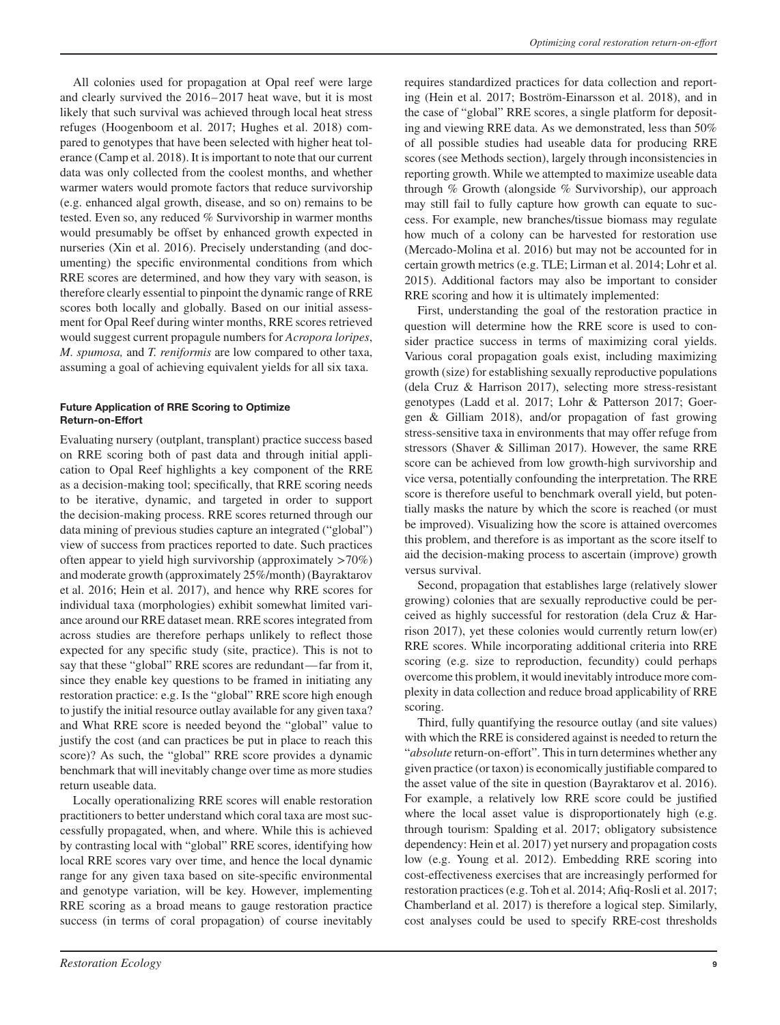All colonies used for propagation at Opal reef were large and clearly survived the 2016–2017 heat wave, but it is most likely that such survival was achieved through local heat stress refuges (Hoogenboom et al. 2017; Hughes et al. 2018) compared to genotypes that have been selected with higher heat tolerance (Camp et al. 2018). It is important to note that our current data was only collected from the coolest months, and whether warmer waters would promote factors that reduce survivorship (e.g. enhanced algal growth, disease, and so on) remains to be tested. Even so, any reduced % Survivorship in warmer months would presumably be offset by enhanced growth expected in nurseries (Xin et al. 2016). Precisely understanding (and documenting) the specific environmental conditions from which RRE scores are determined, and how they vary with season, is therefore clearly essential to pinpoint the dynamic range of RRE scores both locally and globally. Based on our initial assessment for Opal Reef during winter months, RRE scores retrieved would suggest current propagule numbers for *Acropora loripes*, *M. spumosa,* and *T. reniformis* are low compared to other taxa, assuming a goal of achieving equivalent yields for all six taxa.

# **Future Application of RRE Scoring to Optimize Return-on-Effort**

Evaluating nursery (outplant, transplant) practice success based on RRE scoring both of past data and through initial application to Opal Reef highlights a key component of the RRE as a decision-making tool; specifically, that RRE scoring needs to be iterative, dynamic, and targeted in order to support the decision-making process. RRE scores returned through our data mining of previous studies capture an integrated ("global") view of success from practices reported to date. Such practices often appear to yield high survivorship (approximately *>*70%) and moderate growth (approximately 25%/month) (Bayraktarov et al. 2016; Hein et al. 2017), and hence why RRE scores for individual taxa (morphologies) exhibit somewhat limited variance around our RRE dataset mean. RRE scores integrated from across studies are therefore perhaps unlikely to reflect those expected for any specific study (site, practice). This is not to say that these "global" RRE scores are redundant— far from it, since they enable key questions to be framed in initiating any restoration practice: e.g. Is the "global" RRE score high enough to justify the initial resource outlay available for any given taxa? and What RRE score is needed beyond the "global" value to justify the cost (and can practices be put in place to reach this score)? As such, the "global" RRE score provides a dynamic benchmark that will inevitably change over time as more studies return useable data.

Locally operationalizing RRE scores will enable restoration practitioners to better understand which coral taxa are most successfully propagated, when, and where. While this is achieved by contrasting local with "global" RRE scores, identifying how local RRE scores vary over time, and hence the local dynamic range for any given taxa based on site-specific environmental and genotype variation, will be key. However, implementing RRE scoring as a broad means to gauge restoration practice success (in terms of coral propagation) of course inevitably requires standardized practices for data collection and reporting (Hein et al. 2017; Boström-Einarsson et al. 2018), and in the case of "global" RRE scores, a single platform for depositing and viewing RRE data. As we demonstrated, less than 50% of all possible studies had useable data for producing RRE scores (see Methods section), largely through inconsistencies in reporting growth. While we attempted to maximize useable data through % Growth (alongside % Survivorship), our approach may still fail to fully capture how growth can equate to success. For example, new branches/tissue biomass may regulate how much of a colony can be harvested for restoration use (Mercado-Molina et al. 2016) but may not be accounted for in certain growth metrics (e.g. TLE; Lirman et al. 2014; Lohr et al. 2015). Additional factors may also be important to consider RRE scoring and how it is ultimately implemented:

First, understanding the goal of the restoration practice in question will determine how the RRE score is used to consider practice success in terms of maximizing coral yields. Various coral propagation goals exist, including maximizing growth (size) for establishing sexually reproductive populations (dela Cruz & Harrison 2017), selecting more stress-resistant genotypes (Ladd et al. 2017; Lohr & Patterson 2017; Goergen & Gilliam 2018), and/or propagation of fast growing stress-sensitive taxa in environments that may offer refuge from stressors (Shaver & Silliman 2017). However, the same RRE score can be achieved from low growth-high survivorship and vice versa, potentially confounding the interpretation. The RRE score is therefore useful to benchmark overall yield, but potentially masks the nature by which the score is reached (or must be improved). Visualizing how the score is attained overcomes this problem, and therefore is as important as the score itself to aid the decision-making process to ascertain (improve) growth versus survival.

Second, propagation that establishes large (relatively slower growing) colonies that are sexually reproductive could be perceived as highly successful for restoration (dela Cruz & Harrison 2017), yet these colonies would currently return low(er) RRE scores. While incorporating additional criteria into RRE scoring (e.g. size to reproduction, fecundity) could perhaps overcome this problem, it would inevitably introduce more complexity in data collection and reduce broad applicability of RRE scoring.

Third, fully quantifying the resource outlay (and site values) with which the RRE is considered against is needed to return the "*absolute* return-on-effort". This in turn determines whether any given practice (or taxon) is economically justifiable compared to the asset value of the site in question (Bayraktarov et al. 2016). For example, a relatively low RRE score could be justified where the local asset value is disproportionately high (e.g. through tourism: Spalding et al. 2017; obligatory subsistence dependency: Hein et al. 2017) yet nursery and propagation costs low (e.g. Young et al. 2012). Embedding RRE scoring into cost-effectiveness exercises that are increasingly performed for restoration practices (e.g. Toh et al. 2014; Afiq-Rosli et al. 2017; Chamberland et al. 2017) is therefore a logical step. Similarly, cost analyses could be used to specify RRE-cost thresholds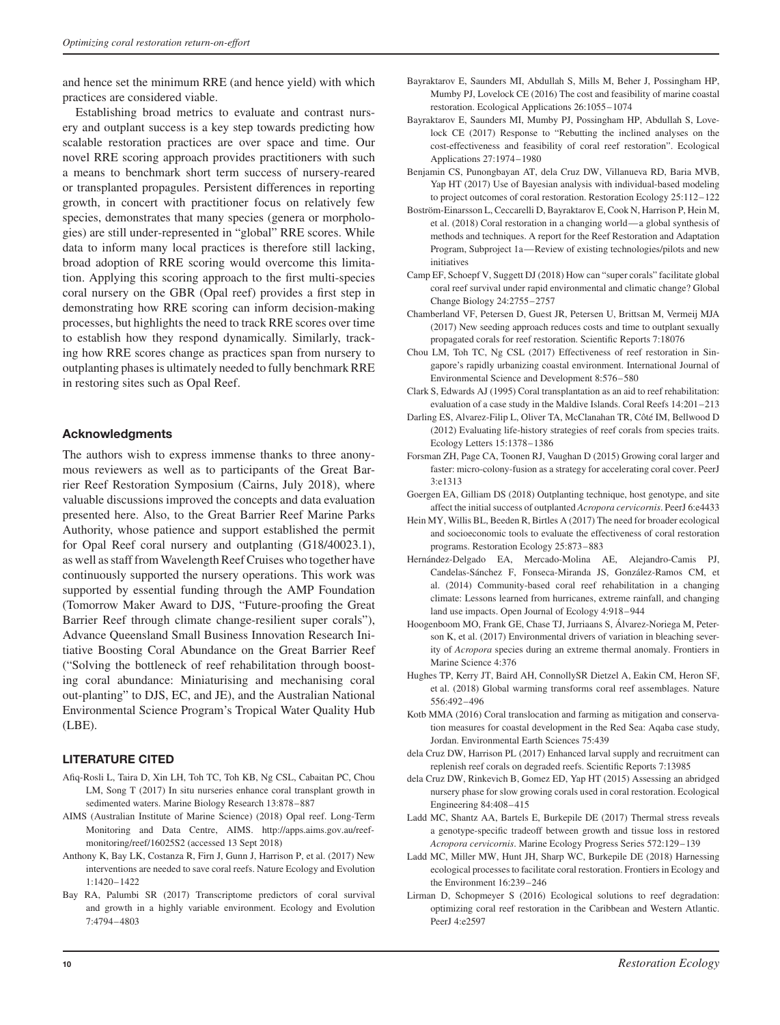and hence set the minimum RRE (and hence yield) with which practices are considered viable.

Establishing broad metrics to evaluate and contrast nursery and outplant success is a key step towards predicting how scalable restoration practices are over space and time. Our novel RRE scoring approach provides practitioners with such a means to benchmark short term success of nursery-reared or transplanted propagules. Persistent differences in reporting growth, in concert with practitioner focus on relatively few species, demonstrates that many species (genera or morphologies) are still under-represented in "global" RRE scores. While data to inform many local practices is therefore still lacking, broad adoption of RRE scoring would overcome this limitation. Applying this scoring approach to the first multi-species coral nursery on the GBR (Opal reef) provides a first step in demonstrating how RRE scoring can inform decision-making processes, but highlights the need to track RRE scores over time to establish how they respond dynamically. Similarly, tracking how RRE scores change as practices span from nursery to outplanting phases is ultimately needed to fully benchmark RRE in restoring sites such as Opal Reef.

#### **Acknowledgments**

The authors wish to express immense thanks to three anonymous reviewers as well as to participants of the Great Barrier Reef Restoration Symposium (Cairns, July 2018), where valuable discussions improved the concepts and data evaluation presented here. Also, to the Great Barrier Reef Marine Parks Authority, whose patience and support established the permit for Opal Reef coral nursery and outplanting (G18/40023.1), as well as staff from Wavelength Reef Cruises who together have continuously supported the nursery operations. This work was supported by essential funding through the AMP Foundation (Tomorrow Maker Award to DJS, "Future-proofing the Great Barrier Reef through climate change-resilient super corals"), Advance Queensland Small Business Innovation Research Initiative Boosting Coral Abundance on the Great Barrier Reef ("Solving the bottleneck of reef rehabilitation through boosting coral abundance: Miniaturising and mechanising coral out-planting" to DJS, EC, and JE), and the Australian National Environmental Science Program's Tropical Water Quality Hub (LBE).

## **LITERATURE CITED**

- Afiq-Rosli L, Taira D, Xin LH, Toh TC, Toh KB, Ng CSL, Cabaitan PC, Chou LM, Song T (2017) In situ nurseries enhance coral transplant growth in sedimented waters. Marine Biology Research 13:878–887
- AIMS (Australian Institute of Marine Science) (2018) Opal reef. Long-Term Monitoring and Data Centre, AIMS. [http://apps.aims.gov.au/reef](http://apps.aims.gov.au/reef-monitoring/reef/16025S2)[monitoring/reef/16025S2](http://apps.aims.gov.au/reef-monitoring/reef/16025S2) (accessed 13 Sept 2018)
- Anthony K, Bay LK, Costanza R, Firn J, Gunn J, Harrison P, et al. (2017) New interventions are needed to save coral reefs. Nature Ecology and Evolution 1:1420–1422
- Bay RA, Palumbi SR (2017) Transcriptome predictors of coral survival and growth in a highly variable environment. Ecology and Evolution 7:4794–4803
- Bayraktarov E, Saunders MI, Abdullah S, Mills M, Beher J, Possingham HP, Mumby PJ, Lovelock CE (2016) The cost and feasibility of marine coastal restoration. Ecological Applications 26:1055–1074
- Bayraktarov E, Saunders MI, Mumby PJ, Possingham HP, Abdullah S, Lovelock CE (2017) Response to "Rebutting the inclined analyses on the cost-effectiveness and feasibility of coral reef restoration". Ecological Applications 27:1974–1980
- Benjamin CS, Punongbayan AT, dela Cruz DW, Villanueva RD, Baria MVB, Yap HT (2017) Use of Bayesian analysis with individual-based modeling to project outcomes of coral restoration. Restoration Ecology 25:112–122
- Boström-Einarsson L, Ceccarelli D, Bayraktarov E, Cook N, Harrison P, Hein M, et al. (2018) Coral restoration in a changing world—a global synthesis of methods and techniques. A report for the Reef Restoration and Adaptation Program, Subproject 1a—Review of existing technologies/pilots and new initiatives
- Camp EF, Schoepf V, Suggett DJ (2018) How can "super corals" facilitate global coral reef survival under rapid environmental and climatic change? Global Change Biology 24:2755–2757
- Chamberland VF, Petersen D, Guest JR, Petersen U, Brittsan M, Vermeij MJA (2017) New seeding approach reduces costs and time to outplant sexually propagated corals for reef restoration. Scientific Reports 7:18076
- Chou LM, Toh TC, Ng CSL (2017) Effectiveness of reef restoration in Singapore's rapidly urbanizing coastal environment. International Journal of Environmental Science and Development 8:576–580
- Clark S, Edwards AJ (1995) Coral transplantation as an aid to reef rehabilitation: evaluation of a case study in the Maldive Islands. Coral Reefs 14:201–213
- Darling ES, Alvarez-Filip L, Oliver TA, McClanahan TR, Côté IM, Bellwood D (2012) Evaluating life-history strategies of reef corals from species traits. Ecology Letters 15:1378–1386
- Forsman ZH, Page CA, Toonen RJ, Vaughan D (2015) Growing coral larger and faster: micro-colony-fusion as a strategy for accelerating coral cover. PeerJ 3:e1313
- Goergen EA, Gilliam DS (2018) Outplanting technique, host genotype, and site affect the initial success of outplanted *Acropora cervicornis*. PeerJ 6:e4433
- Hein MY, Willis BL, Beeden R, Birtles A (2017) The need for broader ecological and socioeconomic tools to evaluate the effectiveness of coral restoration programs. Restoration Ecology 25:873–883
- Hernández-Delgado EA, Mercado-Molina AE, Alejandro-Camis PJ, Candelas-Sánchez F, Fonseca-Miranda JS, González-Ramos CM, et al. (2014) Community-based coral reef rehabilitation in a changing climate: Lessons learned from hurricanes, extreme rainfall, and changing land use impacts. Open Journal of Ecology 4:918–944
- Hoogenboom MO, Frank GE, Chase TJ, Jurriaans S, Álvarez-Noriega M, Peterson K, et al. (2017) Environmental drivers of variation in bleaching severity of *Acropora* species during an extreme thermal anomaly. Frontiers in Marine Science 4:376
- Hughes TP, Kerry JT, Baird AH, ConnollySR Dietzel A, Eakin CM, Heron SF, et al. (2018) Global warming transforms coral reef assemblages. Nature 556:492–496
- Kotb MMA (2016) Coral translocation and farming as mitigation and conservation measures for coastal development in the Red Sea: Aqaba case study, Jordan. Environmental Earth Sciences 75:439
- dela Cruz DW, Harrison PL (2017) Enhanced larval supply and recruitment can replenish reef corals on degraded reefs. Scientific Reports 7:13985
- dela Cruz DW, Rinkevich B, Gomez ED, Yap HT (2015) Assessing an abridged nursery phase for slow growing corals used in coral restoration. Ecological Engineering 84:408–415
- Ladd MC, Shantz AA, Bartels E, Burkepile DE (2017) Thermal stress reveals a genotype-specific tradeoff between growth and tissue loss in restored *Acropora cervicornis*. Marine Ecology Progress Series 572:129–139
- Ladd MC, Miller MW, Hunt JH, Sharp WC, Burkepile DE (2018) Harnessing ecological processes to facilitate coral restoration. Frontiers in Ecology and the Environment 16:239–246
- Lirman D, Schopmeyer S (2016) Ecological solutions to reef degradation: optimizing coral reef restoration in the Caribbean and Western Atlantic. PeerJ 4:e2597